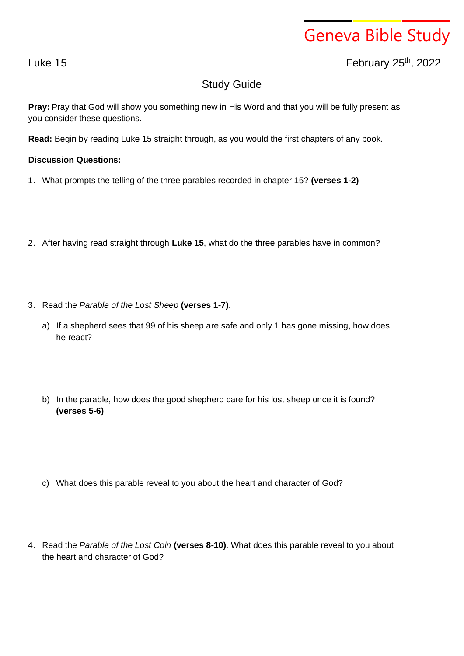## Geneva Bible Study

Luke 15 February 25th , 2022

## Study Guide

**Pray:** Pray that God will show you something new in His Word and that you will be fully present as you consider these questions.

**Read:** Begin by reading Luke 15 straight through, as you would the first chapters of any book.

## **Discussion Questions:**

- 1. What prompts the telling of the three parables recorded in chapter 15? **(verses 1-2)**
- 2. After having read straight through **Luke 15**, what do the three parables have in common?
- 3. Read the *Parable of the Lost Sheep* **(verses 1-7)**.
	- a) If a shepherd sees that 99 of his sheep are safe and only 1 has gone missing, how does he react?
	- b) In the parable, how does the good shepherd care for his lost sheep once it is found? **(verses 5-6)**
	- c) What does this parable reveal to you about the heart and character of God?
- 4. Read the *Parable of the Lost Coin* **(verses 8-10)**. What does this parable reveal to you about the heart and character of God?